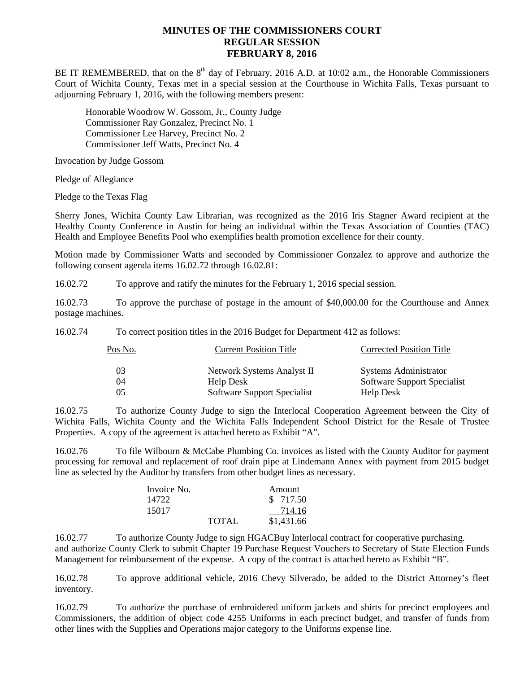## **MINUTES OF THE COMMISSIONERS COURT REGULAR SESSION FEBRUARY 8, 2016**

BE IT REMEMBERED, that on the  $8<sup>th</sup>$  day of February, 2016 A.D. at 10:02 a.m., the Honorable Commissioners Court of Wichita County, Texas met in a special session at the Courthouse in Wichita Falls, Texas pursuant to adjourning February 1, 2016, with the following members present:

Honorable Woodrow W. Gossom, Jr., County Judge Commissioner Ray Gonzalez, Precinct No. 1 Commissioner Lee Harvey, Precinct No. 2 Commissioner Jeff Watts, Precinct No. 4

Invocation by Judge Gossom

Pledge of Allegiance

Pledge to the Texas Flag

Sherry Jones, Wichita County Law Librarian, was recognized as the 2016 Iris Stagner Award recipient at the Healthy County Conference in Austin for being an individual within the Texas Association of Counties (TAC) Health and Employee Benefits Pool who exemplifies health promotion excellence for their county.

Motion made by Commissioner Watts and seconded by Commissioner Gonzalez to approve and authorize the following consent agenda items 16.02.72 through 16.02.81:

16.02.72 To approve and ratify the minutes for the February 1, 2016 special session.

16.02.73 To approve the purchase of postage in the amount of \$40,000.00 for the Courthouse and Annex postage machines.

16.02.74 To correct position titles in the 2016 Budget for Department 412 as follows:

| Pos No. | <b>Current Position Title</b> | <b>Corrected Position Title</b> |
|---------|-------------------------------|---------------------------------|
|         | Network Systems Analyst II    | <b>Systems Administrator</b>    |
| 04      | Help Desk                     | Software Support Specialist     |
| 05      | Software Support Specialist   | Help Desk                       |

16.02.75 To authorize County Judge to sign the Interlocal Cooperation Agreement between the City of Wichita Falls, Wichita County and the Wichita Falls Independent School District for the Resale of Trustee Properties. A copy of the agreement is attached hereto as Exhibit "A".

16.02.76 To file Wilbourn & McCabe Plumbing Co. invoices as listed with the County Auditor for payment processing for removal and replacement of roof drain pipe at Lindemann Annex with payment from 2015 budget line as selected by the Auditor by transfers from other budget lines as necessary.

| Invoice No. |       | Amount     |
|-------------|-------|------------|
| 14722       |       | \$ 717.50  |
| 15017       |       | 714.16     |
|             | TOTAL | \$1,431.66 |

16.02.77 To authorize County Judge to sign HGACBuy Interlocal contract for cooperative purchasing. and authorize County Clerk to submit Chapter 19 Purchase Request Vouchers to Secretary of State Election Funds Management for reimbursement of the expense. A copy of the contract is attached hereto as Exhibit "B".

16.02.78 To approve additional vehicle, 2016 Chevy Silverado, be added to the District Attorney's fleet inventory.

16.02.79 To authorize the purchase of embroidered uniform jackets and shirts for precinct employees and Commissioners, the addition of object code 4255 Uniforms in each precinct budget, and transfer of funds from other lines with the Supplies and Operations major category to the Uniforms expense line.